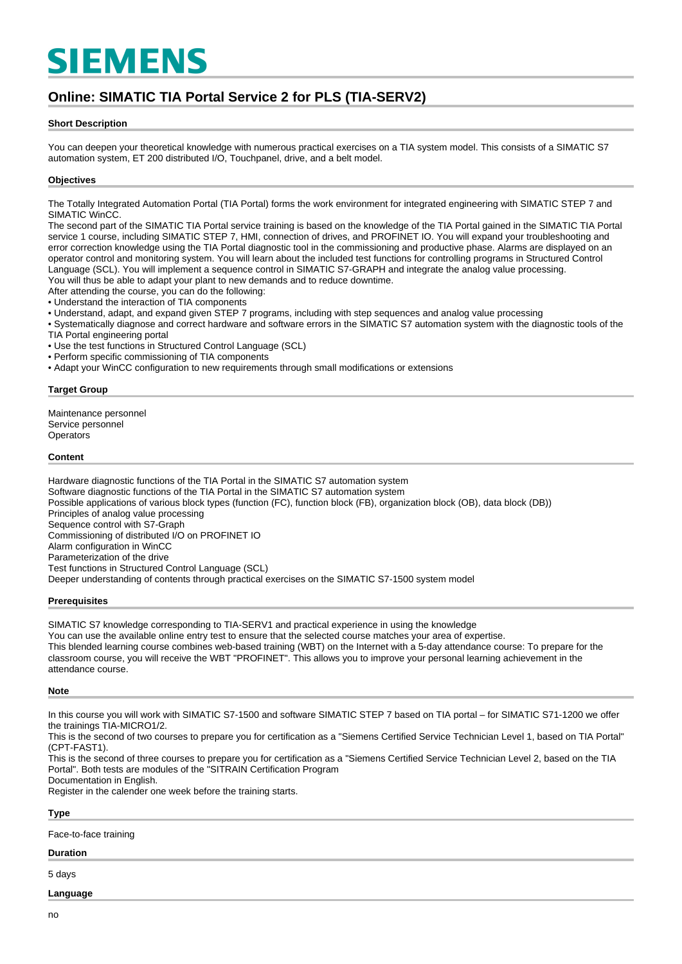# **SIEMENS**

# **Online: SIMATIC TIA Portal Service 2 for PLS (TIA-SERV2)**

## **Short Description**

You can deepen your theoretical knowledge with numerous practical exercises on a TIA system model. This consists of a SIMATIC S7 automation system, ET 200 distributed I/O, Touchpanel, drive, and a belt model.

## **Objectives**

The Totally Integrated Automation Portal (TIA Portal) forms the work environment for integrated engineering with SIMATIC STEP 7 and SIMATIC WinCC.

The second part of the SIMATIC TIA Portal service training is based on the knowledge of the TIA Portal gained in the SIMATIC TIA Portal service 1 course, including SIMATIC STEP 7, HMI, connection of drives, and PROFINET IO. You will expand your troubleshooting and error correction knowledge using the TIA Portal diagnostic tool in the commissioning and productive phase. Alarms are displayed on an operator control and monitoring system. You will learn about the included test functions for controlling programs in Structured Control Language (SCL). You will implement a sequence control in SIMATIC S7-GRAPH and integrate the analog value processing.

You will thus be able to adapt your plant to new demands and to reduce downtime.

After attending the course, you can do the following:

• Understand the interaction of TIA components

• Understand, adapt, and expand given STEP 7 programs, including with step sequences and analog value processing

- Systematically diagnose and correct hardware and software errors in the SIMATIC S7 automation system with the diagnostic tools of the
- TIA Portal engineering portal
- Use the test functions in Structured Control Language (SCL)
- Perform specific commissioning of TIA components
- Adapt your WinCC configuration to new requirements through small modifications or extensions

#### **Target Group**

Maintenance personnel Service personnel **Operators** 

#### **Content**

Hardware diagnostic functions of the TIA Portal in the SIMATIC S7 automation system Software diagnostic functions of the TIA Portal in the SIMATIC S7 automation system Possible applications of various block types (function (FC), function block (FB), organization block (OB), data block (DB)) Principles of analog value processing Sequence control with S7-Graph Commissioning of distributed I/O on PROFINET IO Alarm configuration in WinCC Parameterization of the drive Test functions in Structured Control Language (SCL) Deeper understanding of contents through practical exercises on the SIMATIC S7-1500 system model

#### **Prerequisites**

SIMATIC S7 knowledge corresponding to TIA-SERV1 and practical experience in using the knowledge You can use the available online entry test to ensure that the selected course matches your area of expertise. This blended learning course combines web-based training (WBT) on the Internet with a 5-day attendance course: To prepare for the classroom course, you will receive the WBT "PROFINET". This allows you to improve your personal learning achievement in the attendance course.

#### **Note**

In this course you will work with SIMATIC S7-1500 and software SIMATIC STEP 7 based on TIA portal – for SIMATIC S71-1200 we offer the trainings TIA-MICRO1/2.

This is the second of two courses to prepare you for certification as a "Siemens Certified Service Technician Level 1, based on TIA Portal" (CPT-FAST1).

This is the second of three courses to prepare you for certification as a "Siemens Certified Service Technician Level 2, based on the TIA Portal". Both tests are modules of the "SITRAIN Certification Program

Documentation in English.

Register in the calender one week before the training starts.

**Type**

Face-to-face training

## **Duration**

5 days

## **Language**